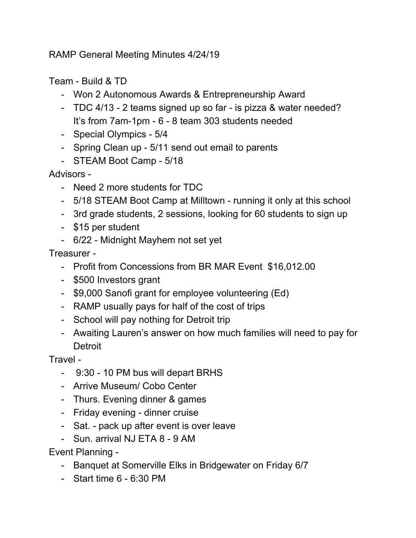RAMP General Meeting Minutes 4/24/19

Team - Build & TD

- Won 2 Autonomous Awards & Entrepreneurship Award
- TDC 4/13 2 teams signed up so far is pizza & water needed? It's from 7am-1pm - 6 - 8 team 303 students needed
- Special Olympics 5/4
- Spring Clean up 5/11 send out email to parents
- STEAM Boot Camp 5/18

Advisors -

- Need 2 more students for TDC
- 5/18 STEAM Boot Camp at Milltown running it only at this school
- 3rd grade students, 2 sessions, looking for 60 students to sign up
- \$15 per student
- 6/22 Midnight Mayhem not set yet

Treasurer -

- Profit from Concessions from BR MAR Event \$16,012.00
- \$500 Investors grant
- \$9,000 Sanofi grant for employee volunteering (Ed)
- RAMP usually pays for half of the cost of trips
- School will pay nothing for Detroit trip
- Awaiting Lauren's answer on how much families will need to pay for **Detroit**

Travel -

- 9:30 10 PM bus will depart BRHS
- Arrive Museum/ Cobo Center
- Thurs. Evening dinner & games
- Friday evening dinner cruise
- Sat. pack up after event is over leave
- Sun. arrival NJ ETA 8 9 AM

Event Planning -

- Banquet at Somerville Elks in Bridgewater on Friday 6/7
- Start time 6 6:30 PM